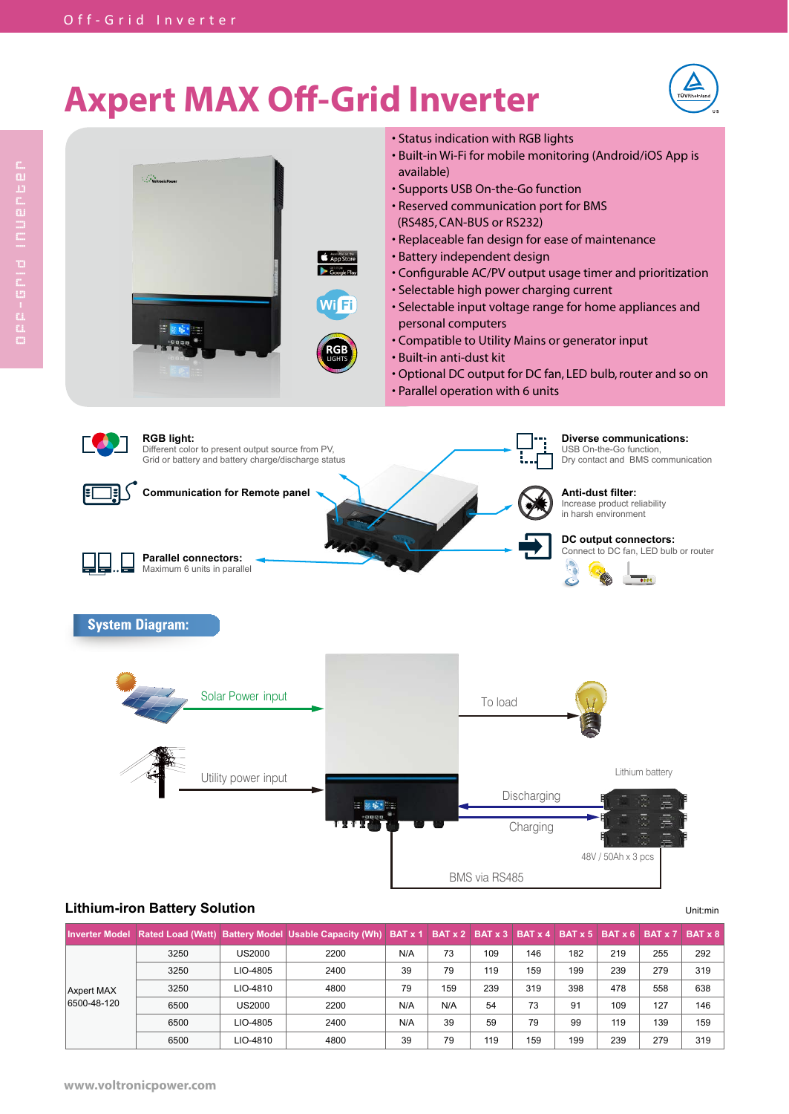## **Axpert MAX Off-Grid Inverter**





## **Lithium-iron Battery Solution** Unit: **Lithium-iron Battery Solution**

**Inverter Model Rated Load (Watt) Battery Model Usable Capacity (Wh) BAT x 1 BAT x 2 BAT x 3 BAT x 4 BAT x 5 BAT x 6 BAT x 7 BAT x 8** Axpert MAX 6500-48-120 3250 US2000 2200 N/A 73 109 146 182 219 255 292 3250 LIO-4805 2400 39 79 119 159 199 239 279 319 3250 LIO-4810 4800 79 159 239 319 398 478 558 638 6500 | US2000 | 2200 | N/A | N/A | 54 | 73 | 91 | 109 | 127 | 146 6500 | LIO-4805 | 2400 | N/A | 39 | 59 | 79 | 99 | 119 | 139 | 159 6500 | LIO-4810 | 4800 | 39 | 79 | 119 | 159 | 199 | 239 | 279 | 319

BMS via RS485